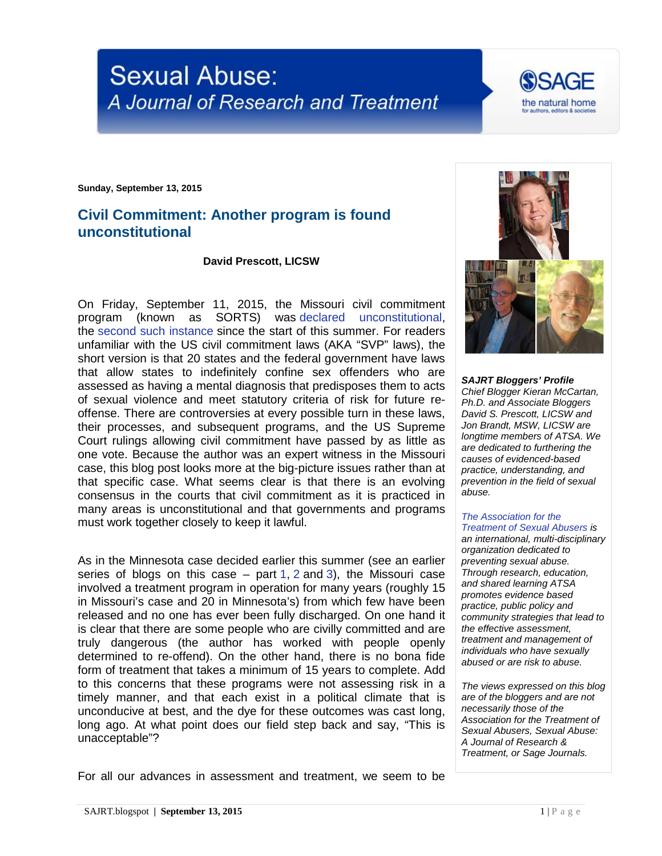



**Sunday, September 13, 2015**

## **Civil Commitment: Another program is found unconstitutional**

## **David Prescott, LICSW**

On Friday, September 11, 2015, the Missouri civil commitment program (known as SORTS) was [declared unconstitutional,](http://www.stltoday.com/news/local/crime-and-courts/us-judge-rules-handling-of-state-s-sexual-predator-program/article_8ea46baa-5e3f-5773-a1d1-9465c9d08fe9.html) the [second such instance](http://www.startribune.com/judge-expected-to-rule-today-in-lawsuit-challenging-minnesota-s-sex-offender-program/307884871/) since the start of this summer. For readers unfamiliar with the US civil commitment laws (AKA "SVP" laws), the short version is that 20 states and the federal government have laws that allow states to indefinitely confine sex offenders who are assessed as having a mental diagnosis that predisposes them to acts of sexual violence and meet statutory criteria of risk for future reoffense. There are controversies at every possible turn in these laws, their processes, and subsequent programs, and the US Supreme Court rulings allowing civil commitment have passed by as little as one vote. Because the author was an expert witness in the Missouri case, this blog post looks more at the big-picture issues rather than at that specific case. What seems clear is that there is an evolving consensus in the courts that civil commitment as it is practiced in many areas is unconstitutional and that governments and programs must work together closely to keep it lawful.

As in the Minnesota case decided earlier this summer (see an earlier series of blogs on this case  $-$  part [1,](http://sajrt.blogspot.co.uk/2015/02/the-minnesota-sex-offender-program.html) [2](http://sajrt.blogspot.co.uk/2015/02/the-minnesota-sex-offender-program_7.html) and [3\)](http://sajrt.blogspot.co.uk/2015/06/the-minnesota-sex-offender-program.html), the Missouri case involved a treatment program in operation for many years (roughly 15 in Missouri's case and 20 in Minnesota's) from which few have been released and no one has ever been fully discharged. On one hand it is clear that there are some people who are civilly committed and are truly dangerous (the author has worked with people openly determined to re-offend). On the other hand, there is no bona fide form of treatment that takes a minimum of 15 years to complete. Add to this concerns that these programs were not assessing risk in a timely manner, and that each exist in a political climate that is unconducive at best, and the dye for these outcomes was cast long, long ago. At what point does our field step back and say, "This is unacceptable"?



*SAJRT Bloggers' Profile Chief Blogger Kieran McCartan, Ph.D. and Associate Bloggers David S. Prescott, LICSW and Jon Brandt, MSW, LICSW are longtime members of ATSA. We are dedicated to furthering the causes of evidenced-based practice, understanding, and prevention in the field of sexual abuse.*

## *[The Association for the](http://atsa.com/)  [Treatment of Sexual Abusers](http://atsa.com/) is*

*an international, multi-disciplinary organization dedicated to preventing sexual abuse. Through research, education, and shared learning ATSA promotes evidence based practice, public policy and community strategies that lead to the effective assessment, treatment and management of individuals who have sexually abused or are risk to abuse.* 

*The views expressed on this blog are of the bloggers and are not necessarily those of the Association for the Treatment of Sexual Abusers, Sexual Abuse: A Journal of Research & Treatment, or Sage Journals.*

For all our advances in assessment and treatment, we seem to be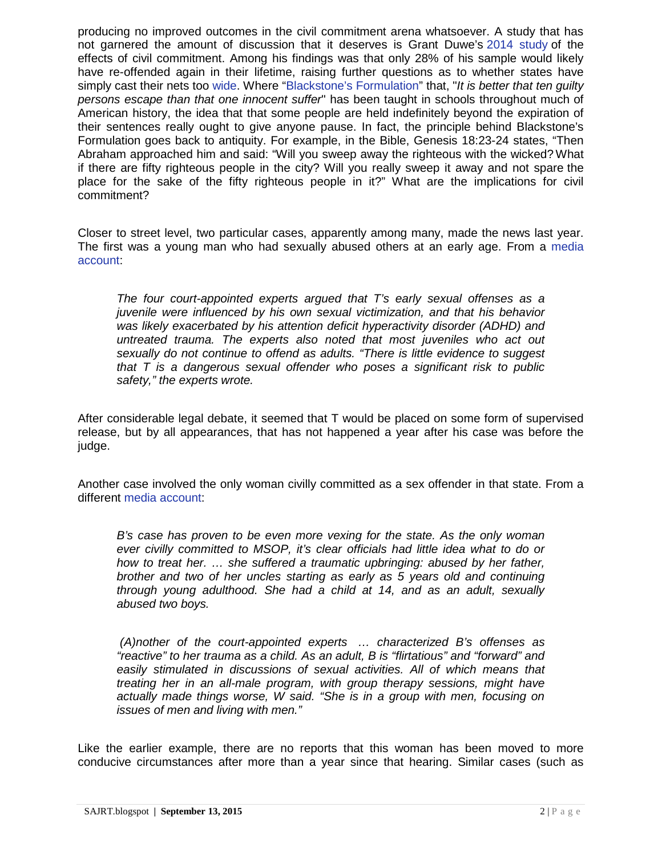producing no improved outcomes in the civil commitment arena whatsoever. A study that has not garnered the amount of discussion that it deserves is Grant Duwe's [2014 study](http://www.sciencedirect.com/science/article/pii/S0047235213000482) of the effects of civil commitment. Among his findings was that only 28% of his sample would likely have re-offended again in their lifetime, raising further questions as to whether states have simply cast their nets too [wide.](http://jiv.sagepub.com/content/29/15/2792.abstract) Where ["Blackstone's Formulation"](https://en.wikipedia.org/wiki/Blackstone%27s_formulation) that, "*It is better that ten guilty persons escape than that one innocent suffer*" has been taught in schools throughout much of American history, the idea that that some people are held indefinitely beyond the expiration of their sentences really ought to give anyone pause. In fact, the principle behind Blackstone's Formulation goes back to antiquity. For example, in the Bible, Genesis 18:23-24 states, "Then Abraham approached him and said: "Will you sweep away the righteous with the wicked? What if there are fifty righteous people in the city? Will you really sweep it away and not spare the place for the sake of the fifty righteous people in it?" What are the implications for civil commitment?

Closer to street level, two particular cases, apparently among many, made the news last year. The first was a young man who had sexually abused others at an early age. From a [media](http://www.startribune.com/judge-won-t-allow-release-of-sex-offender/270838671/)  [account:](http://www.startribune.com/judge-won-t-allow-release-of-sex-offender/270838671/)

*The four court-appointed experts argued that T's early sexual offenses as a juvenile were influenced by his own sexual victimization, and that his behavior was likely exacerbated by his attention deficit hyperactivity disorder (ADHD) and untreated trauma. The experts also noted that most juveniles who act out sexually do not continue to offend as adults. "There is little evidence to suggest that T is a dangerous sexual offender who poses a significant risk to public safety," the experts wrote.*

After considerable legal debate, it seemed that T would be placed on some form of supervised release, but by all appearances, that has not happened a year after his case was before the judge.

Another case involved the only woman civilly committed as a sex offender in that state. From a different [media account:](https://www.minnpost.com/politics-policy/2014/07/hearing-reveals-flaws-minnesotas-treatment-certain-sex-offenders)

*B's case has proven to be even more vexing for the state. As the only woman ever civilly committed to MSOP, it's clear officials had little idea what to do or how to treat her. ... she suffered a traumatic upbringing: abused by her father, brother and two of her uncles starting as early as 5 years old and continuing through young adulthood. She had a child at 14, and as an adult, sexually abused two boys.*

*(A)nother of the court-appointed experts … characterized B's offenses as "reactive" to her trauma as a child. As an adult, B is "flirtatious" and "forward" and*  easily stimulated in discussions of sexual activities. All of which means that *treating her in an all-male program, with group therapy sessions, might have actually made things worse, W said. "She is in a group with men, focusing on issues of men and living with men."*

Like the earlier example, there are no reports that this woman has been moved to more conducive circumstances after more than a year since that hearing. Similar cases (such as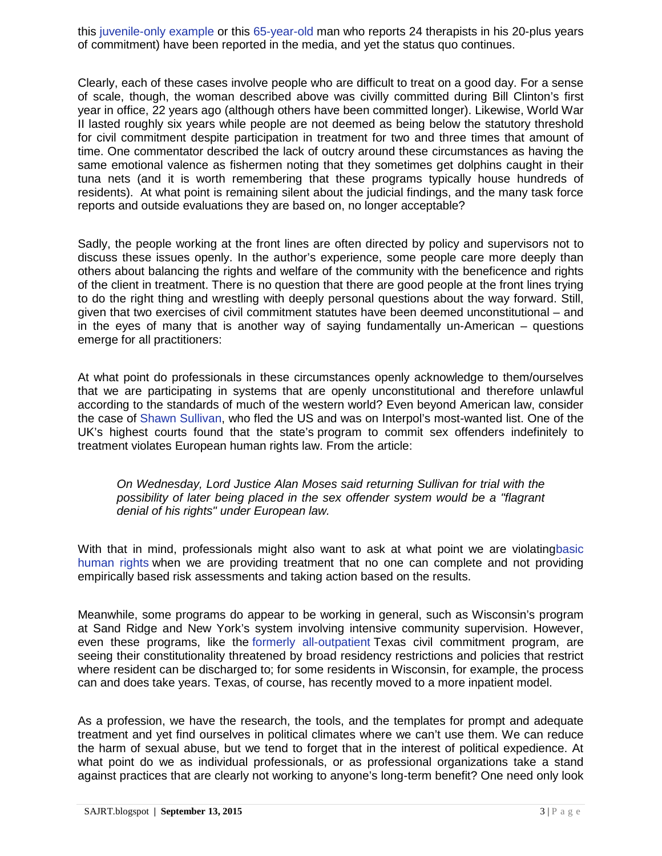this [juvenile-only example](http://politicsinminnesota.com/2012/10/he-was-a-kid-former-juvenile-sex-offenders-languish-in-msop/) or this [65-year-old](http://www.startribune.com/nobody-ever-released-witness-says-at-msop-trial/292307001/) man who reports 24 therapists in his 20-plus years of commitment) have been reported in the media, and yet the status quo continues.

Clearly, each of these cases involve people who are difficult to treat on a good day. For a sense of scale, though, the woman described above was civilly committed during Bill Clinton's first year in office, 22 years ago (although others have been committed longer). Likewise, World War II lasted roughly six years while people are not deemed as being below the statutory threshold for civil commitment despite participation in treatment for two and three times that amount of time. One commentator described the lack of outcry around these circumstances as having the same emotional valence as fishermen noting that they sometimes get dolphins caught in their tuna nets (and it is worth remembering that these programs typically house hundreds of residents). At what point is remaining silent about the judicial findings, and the many task force reports and outside evaluations they are based on, no longer acceptable?

Sadly, the people working at the front lines are often directed by policy and supervisors not to discuss these issues openly. In the author's experience, some people care more deeply than others about balancing the rights and welfare of the community with the beneficence and rights of the client in treatment. There is no question that there are good people at the front lines trying to do the right thing and wrestling with deeply personal questions about the way forward. Still, given that two exercises of civil commitment statutes have been deemed unconstitutional – and in the eyes of many that is another way of saying fundamentally un-American – questions emerge for all practitioners:

At what point do professionals in these circumstances openly acknowledge to them/ourselves that we are participating in systems that are openly unconstitutional and therefore unlawful according to the standards of much of the western world? Even beyond American law, consider the case of [Shawn Sullivan,](http://www.startribune.com/britain-balks-at-extradition-in-minnesota-sex-case/159711685/) who fled the US and was on Interpol's most-wanted list. One of the UK's highest courts found that the state's program to commit sex offenders indefinitely to treatment violates European human rights law. From the article:

*On Wednesday, Lord Justice Alan Moses said returning Sullivan for trial with the possibility of later being placed in the sex offender system would be a "flagrant denial of his rights" under European law.*

With that in mind, professionals might also want to ask at what point we are violatin[gbasic](http://www.un.org/en/documents/udhr/)  [human rights](http://www.un.org/en/documents/udhr/) when we are providing treatment that no one can complete and not providing empirically based risk assessments and taking action based on the results.

Meanwhile, some programs do appear to be working in general, such as Wisconsin's program at Sand Ridge and New York's system involving intensive community supervision. However, even these programs, like the [formerly all-outpatient](http://www.courthousenews.com/2015/09/10/no-place-to-go-forever-texas-offender-says.htm) Texas civil commitment program, are seeing their constitutionality threatened by broad residency restrictions and policies that restrict where resident can be discharged to; for some residents in Wisconsin, for example, the process can and does take years. Texas, of course, has recently moved to a more inpatient model.

As a profession, we have the research, the tools, and the templates for prompt and adequate treatment and yet find ourselves in political climates where we can't use them. We can reduce the harm of sexual abuse, but we tend to forget that in the interest of political expedience. At what point do we as individual professionals, or as professional organizations take a stand against practices that are clearly not working to anyone's long-term benefit? One need only look